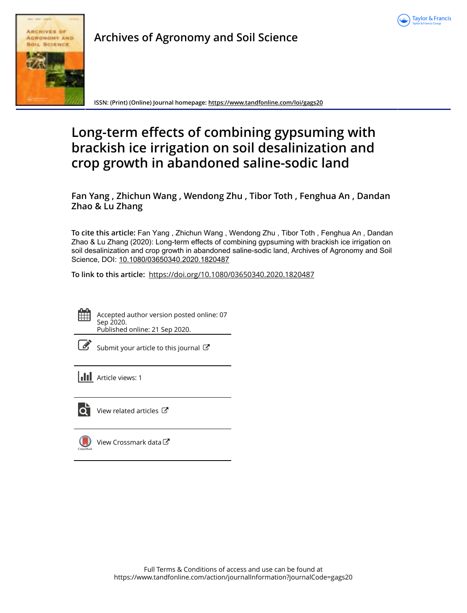

# **Archives of Agronomy and Soil Science**



**ISSN: (Print) (Online) Journal homepage:<https://www.tandfonline.com/loi/gags20>**

# **Long-term effects of combining gypsuming with brackish ice irrigation on soil desalinization and crop growth in abandoned saline-sodic land**

**Fan Yang , Zhichun Wang , Wendong Zhu , Tibor Toth , Fenghua An , Dandan Zhao & Lu Zhang**

**To cite this article:** Fan Yang , Zhichun Wang , Wendong Zhu , Tibor Toth , Fenghua An , Dandan Zhao & Lu Zhang (2020): Long-term effects of combining gypsuming with brackish ice irrigation on soil desalinization and crop growth in abandoned saline-sodic land, Archives of Agronomy and Soil Science, DOI: [10.1080/03650340.2020.1820487](https://www.tandfonline.com/action/showCitFormats?doi=10.1080/03650340.2020.1820487)

**To link to this article:** <https://doi.org/10.1080/03650340.2020.1820487>



Accepted author version posted online: 07 Sep 2020. Published online: 21 Sep 2020.

[Submit your article to this journal](https://www.tandfonline.com/action/authorSubmission?journalCode=gags20&show=instructions)  $\mathbb{Z}$ 

**Article views: 1** 



[View related articles](https://www.tandfonline.com/doi/mlt/10.1080/03650340.2020.1820487)  $\mathbb{Z}$ 



[View Crossmark data](http://crossmark.crossref.org/dialog/?doi=10.1080/03650340.2020.1820487&domain=pdf&date_stamp=2020-09-07)<sup>C</sup>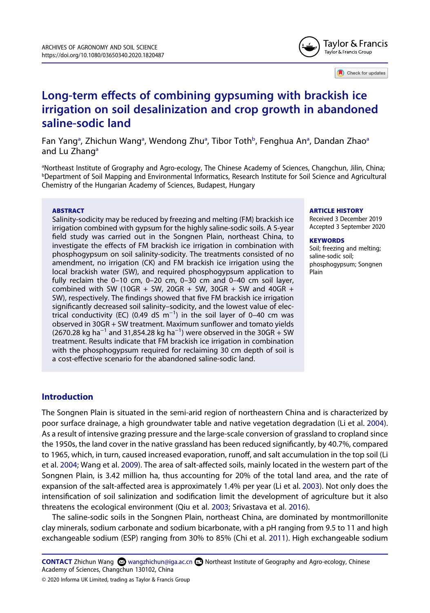

Check for updates

# **Long-term effects of combining gypsuming with brackish ice irrigation on soil desalinization and crop growth in abandoned saline-sodic land**

F[a](#page-1-0)n Yang<sup>a</sup>, Zhichun Wang<sup>a</sup>, Wendong Zhu<sup>a</sup>, Tibor Toth<sup>b</sup>, Fenghu[a](#page-1-0) An<sup>a</sup>, Dandan Zhao<sup>a</sup> [a](#page-1-0)nd Lu Zhang<sup>a</sup>

<span id="page-1-1"></span><span id="page-1-0"></span><sup>a</sup>Northeast Institute of Grography and Agro-ecology, The Chinese Academy of Sciences, Changchun, Jilin, China;<br><sup>b</sup>Department of Soil Manning and Environmental Informatics, Research Institute for Soil Science and Agricultu *Department of Soil Mapping and Environmental Informatics, Research Institute for Soil Science and Agricultural* Chemistry of the Hungarian Academy of Sciences, Budapest, Hungary

#### **ABSTRACT**

Salinity-sodicity may be reduced by freezing and melting (FM) brackish ice irrigation combined with gypsum for the highly saline-sodic soils. A 5-year field study was carried out in the Songnen Plain, northeast China, to investigate the effects of FM brackish ice irrigation in combination with phosphogypsum on soil salinity-sodicity. The treatments consisted of no amendment, no irrigation (CK) and FM brackish ice irrigation using the local brackish water (SW), and required phosphogypsum application to fully reclaim the 0–10 cm, 0–20 cm, 0–30 cm and 0–40 cm soil layer, combined with SW (10GR + SW, 20GR + SW, 30GR + SW and 40GR + SW), respectively. The findings showed that five FM brackish ice irrigation significantly decreased soil salinity–sodicity, and the lowest value of electrical conductivity (EC) (0.49 dS m<sup>-1</sup>) in the soil layer of 0–40 cm was observed in 30GR + SW treatment. Maximum sunflower and tomato yields (2670.28 kg ha<sup>-1</sup> and 31,854.28 kg ha<sup>-1</sup>) were observed in the 30GR + SW treatment. Results indicate that FM brackish ice irrigation in combination with the phosphogypsum required for reclaiming 30 cm depth of soil is a cost-effective scenario for the abandoned saline-sodic land.

#### **ARTICLE HISTORY**

Received 3 December 2019 Accepted 3 September 2020

#### **KEYWORDS**

Soil; freezing and melting; saline-sodic soil; phosphogypsum; Songnen Plain

# **Introduction**

<span id="page-1-4"></span>The Songnen Plain is situated in the semi-arid region of northeastern China and is characterized by poor surface drainage, a high groundwater table and native vegetation degradation (Li et al. [2004\)](#page-15-0). As a result of intensive grazing pressure and the large-scale conversion of grassland to cropland since the 1950s, the land cover in the native grassland has been reduced significantly, by 40.7%, compared to 1965, which, in turn, caused increased evaporation, runoff, and salt accumulation in the top soil (Li et al. [2004](#page-15-0); Wang et al. [2009](#page-15-1)). The area of salt-affected soils, mainly located in the western part of the Songnen Plain, is 3.42 million ha, thus accounting for 20% of the total land area, and the rate of expansion of the salt-affected area is approximately 1.4% per year (Li et al. [2003\)](#page-15-2). Not only does the intensification of soil salinization and sodification limit the development of agriculture but it also threatens the ecological environment (Qiu et al. [2003](#page-15-3); Srivastava et al. [2016\)](#page-15-4).

<span id="page-1-5"></span><span id="page-1-3"></span><span id="page-1-2"></span>The saline-sodic soils in the Songnen Plain, northeast China, are dominated by montmorillonite clay minerals, sodium carbonate and sodium bicarbonate, with a pH ranging from 9.5 to 11 and high exchangeable sodium (ESP) ranging from 30% to 85% (Chi et al. [2011](#page-15-5)). High exchangeable sodium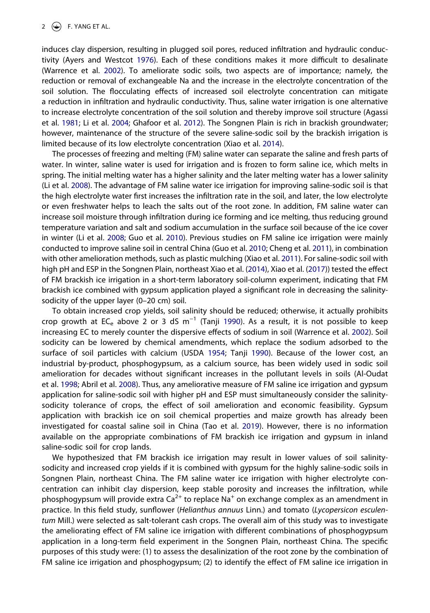<span id="page-2-2"></span>induces clay dispersion, resulting in plugged soil pores, reduced infiltration and hydraulic conductivity (Ayers and Westcot [1976](#page-14-0)). Each of these conditions makes it more difficult to desalinate (Warrence et al. [2002\)](#page-15-6). To ameliorate sodic soils, two aspects are of importance; namely, the reduction or removal of exchangeable Na and the increase in the electrolyte concentration of the soil solution. The flocculating effects of increased soil electrolyte concentration can mitigate a reduction in infiltration and hydraulic conductivity. Thus, saline water irrigation is one alternative to increase electrolyte concentration of the soil solution and thereby improve soil structure (Agassi et al. [1981](#page-14-1); Li et al. [2004;](#page-15-0) Ghafoor et al. [2012](#page-15-7)). The Songnen Plain is rich in brackish groundwater; however, maintenance of the structure of the severe saline-sodic soil by the brackish irrigation is limited because of its low electrolyte concentration (Xiao et al. [2014\)](#page-15-8).

<span id="page-2-1"></span>The processes of freezing and melting (FM) saline water can separate the saline and fresh parts of water. In winter, saline water is used for irrigation and is frozen to form saline ice, which melts in spring. The initial melting water has a higher salinity and the later melting water has a lower salinity (Li et al. [2008](#page-15-9)). The advantage of FM saline water ice irrigation for improving saline-sodic soil is that the high electrolyte water first increases the infiltration rate in the soil, and later, the low electrolyte or even freshwater helps to leach the salts out of the root zone. In addition, FM saline water can increase soil moisture through infiltration during ice forming and ice melting, thus reducing ground temperature variation and salt and sodium accumulation in the surface soil because of the ice cover in winter (Li et al. [2008;](#page-15-9) Guo et al. [2010](#page-15-10)). Previous studies on FM saline ice irrigation were mainly conducted to improve saline soil in central China (Guo et al. [2010](#page-15-10); Cheng et al. [2011](#page-14-2)), in combination with other amelioration methods, such as plastic mulching (Xiao et al. [2011](#page-15-11)). For saline-sodic soil with high pH and ESP in the Songnen Plain, northeast Xiao et al. ([2014](#page-15-8)), Xiao et al. ([2017](#page-15-12))) tested the effect of FM brackish ice irrigation in a short-term laboratory soil-column experiment, indicating that FM brackish ice combined with gypsum application played a significant role in decreasing the salinitysodicity of the upper layer (0–20 cm) soil.

<span id="page-2-9"></span><span id="page-2-8"></span><span id="page-2-7"></span><span id="page-2-5"></span><span id="page-2-4"></span><span id="page-2-3"></span><span id="page-2-0"></span>To obtain increased crop yields, soil salinity should be reduced; otherwise, it actually prohibits crop growth at EC<sub>e</sub> above 2 or 3 dS m<sup>-1</sup> (Tanji [1990](#page-15-13)). As a result, it is not possible to keep increasing EC to merely counter the dispersive effects of sodium in soil (Warrence et al. [2002](#page-15-6)). Soil sodicity can be lowered by chemical amendments, which replace the sodium adsorbed to the surface of soil particles with calcium (USDA [1954](#page-15-14); Tanji [1990](#page-15-13)). Because of the lower cost, an industrial by-product, phosphogypsum, as a calcium source, has been widely used in sodic soil amelioration for decades without significant increases in the pollutant levels in soils (Al-Oudat et al. [1998](#page-14-3); Abril et al. [2008\)](#page-14-4). Thus, any ameliorative measure of FM saline ice irrigation and gypsum application for saline-sodic soil with higher pH and ESP must simultaneously consider the salinitysodicity tolerance of crops, the effect of soil amelioration and economic feasibility. Gypsum application with brackish ice on soil chemical properties and maize growth has already been investigated for coastal saline soil in China (Tao et al. [2019\)](#page-15-15). However, there is no information available on the appropriate combinations of FM brackish ice irrigation and gypsum in inland saline-sodic soil for crop lands.

<span id="page-2-6"></span>We hypothesized that FM brackish ice irrigation may result in lower values of soil salinitysodicity and increased crop yields if it is combined with gypsum for the highly saline-sodic soils in Songnen Plain, northeast China. The FM saline water ice irrigation with higher electrolyte concentration can inhibit clay dispersion, keep stable porosity and increases the infiltration, while phosphogypsum will provide extra  $Ca^{2+}$  to replace Na<sup>+</sup> on exchange complex as an amendment in practice. In this field study, sunflower (*Helianthus annuus* Linn.) and tomato (*Lycopersicon esculentum* Mill.) were selected as salt-tolerant cash crops. The overall aim of this study was to investigate the ameliorating effect of FM saline ice irrigation with different combinations of phosphogypsum application in a long-term field experiment in the Songnen Plain, northeast China. The specific purposes of this study were: (1) to assess the desalinization of the root zone by the combination of FM saline ice irrigation and phosphogypsum; (2) to identify the effect of FM saline ice irrigation in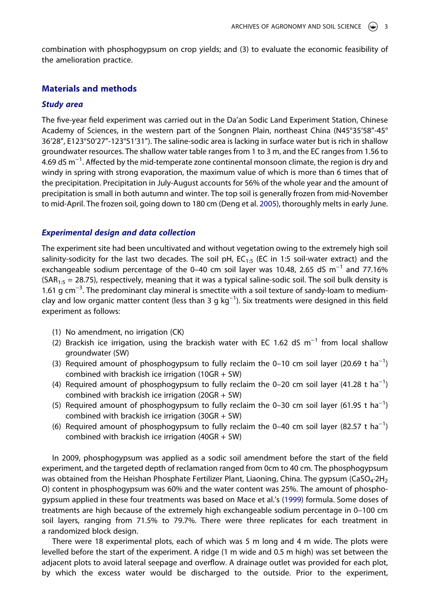combination with phosphogypsum on crop yields; and (3) to evaluate the economic feasibility of the amelioration practice.

# **Materials and methods**

#### *Study area*

The five-year field experiment was carried out in the Da'an Sodic Land Experiment Station, Chinese Academy of Sciences, in the western part of the Songnen Plain, northeast China (N45°35ʹ58"-45° 36ʹ28", E123°50ʹ27"-123°51ʹ31"). The saline-sodic area is lacking in surface water but is rich in shallow groundwater resources. The shallow water table ranges from 1 to 3 m, and the EC ranges from 1.56 to 4.69 dS m<sup>-1</sup>. Affected by the mid-temperate zone continental monsoon climate, the region is dry and windy in spring with strong evaporation, the maximum value of which is more than 6 times that of the precipitation. Precipitation in July-August accounts for 56% of the whole year and the amount of precipitation is small in both autumn and winter. The top soil is generally frozen from mid-November to mid-April. The frozen soil, going down to 180 cm (Deng et al. [2005](#page-15-16)), thoroughly melts in early June.

#### <span id="page-3-0"></span>*Experimental design and data collection*

The experiment site had been uncultivated and without vegetation owing to the extremely high soil salinity-sodicity for the last two decades. The soil pH,  $EC_{1:5}$  (EC in 1:5 soil-water extract) and the exchangeable sodium percentage of the 0–40 cm soil layer was 10.48, 2.65 dS m<sup>-1</sup> and 77.16%  $(SAR<sub>1:5</sub> = 28.75)$ , respectively, meaning that it was a typical saline-sodic soil. The soil bulk density is 1.61 g cm<sup>-3</sup>. The predominant clay mineral is smectite with a soil texture of sandy-loam to mediumclay and low organic matter content (less than 3 g kg<sup>-1</sup>). Six treatments were designed in this field experiment as follows:

- (1) No amendment, no irrigation (CK)
- (2) Brackish ice irrigation, using the brackish water with EC 1.62 dS  $m^{-1}$  from local shallow groundwater (SW)
- (3) Required amount of phosphogypsum to fully reclaim the 0–10 cm soil layer (20.69 t ha<sup>-1</sup>) combined with brackish ice irrigation (10GR + SW)
- (4) Required amount of phosphogypsum to fully reclaim the 0–20 cm soil layer (41.28 t ha<sup>-1</sup>) combined with brackish ice irrigation (20GR + SW)
- (5) Required amount of phosphogypsum to fully reclaim the 0–30 cm soil layer (61.95 t ha<sup>-1</sup>) combined with brackish ice irrigation (30GR + SW)
- (6) Required amount of phosphogypsum to fully reclaim the 0–40 cm soil layer (82.57 t ha<sup>-1</sup>) combined with brackish ice irrigation (40GR + SW)

<span id="page-3-1"></span>In 2009, phosphogypsum was applied as a sodic soil amendment before the start of the field experiment, and the targeted depth of reclamation ranged from 0cm to 40 cm. The phosphogypsum was obtained from the Heishan Phosphate Fertilizer Plant, Liaoning, China. The gypsum (CaSO<sub>4</sub>⋅2H<sub>2</sub> O) content in phosphogypsum was 60% and the water content was 25%. The amount of phosphogypsum applied in these four treatments was based on Mace et al.'s [\(1999\)](#page-15-17) formula. Some doses of treatments are high because of the extremely high exchangeable sodium percentage in 0–100 cm soil layers, ranging from 71.5% to 79.7%. There were three replicates for each treatment in a randomized block design.

There were 18 experimental plots, each of which was 5 m long and 4 m wide. The plots were levelled before the start of the experiment. A ridge (1 m wide and 0.5 m high) was set between the adjacent plots to avoid lateral seepage and overflow. A drainage outlet was provided for each plot, by which the excess water would be discharged to the outside. Prior to the experiment,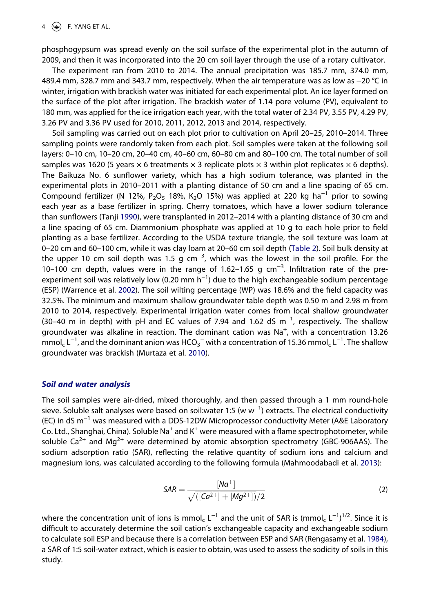phosphogypsum was spread evenly on the soil surface of the experimental plot in the autumn of 2009, and then it was incorporated into the 20 cm soil layer through the use of a rotary cultivator.

The experiment ran from 2010 to 2014. The annual precipitation was 185.7 mm, 374.0 mm, 489.4 mm, 328.7 mm and 343.7 mm, respectively. When the air temperature was as low as −20 °C in winter, irrigation with brackish water was initiated for each experimental plot. An ice layer formed on the surface of the plot after irrigation. The brackish water of 1.14 pore volume (PV), equivalent to 180 mm, was applied for the ice irrigation each year, with the total water of 2.34 PV, 3.55 PV, 4.29 PV, 3.26 PV and 3.36 PV used for 2010, 2011, 2012, 2013 and 2014, respectively.

Soil sampling was carried out on each plot prior to cultivation on April 20–25, 2010–2014. Three sampling points were randomly taken from each plot. Soil samples were taken at the following soil layers: 0–10 cm, 10–20 cm, 20–40 cm, 40–60 cm, 60–80 cm and 80–100 cm. The total number of soil samples was 1620 (5 years  $\times$  6 treatments  $\times$  3 replicate plots  $\times$  3 within plot replicates  $\times$  6 depths). The Baikuza No. 6 sunflower variety, which has a high sodium tolerance, was planted in the experimental plots in 2010–2011 with a planting distance of 50 cm and a line spacing of 65 cm. Compound fertilizer (N 12%, P<sub>2</sub>O<sub>5</sub> 18%, K<sub>2</sub>O 15%) was applied at 220 kg ha<sup>-1</sup> prior to sowing each year as a base fertilizer in spring. Cherry tomatoes, which have a lower sodium tolerance than sunflowers (Tanji [1990](#page-15-13)), were transplanted in 2012–2014 with a planting distance of 30 cm and a line spacing of 65 cm. Diammonium phosphate was applied at 10 g to each hole prior to field planting as a base fertilizer. According to the USDA texture triangle, the soil texture was loam at 0–20 cm and 60–100 cm, while it was clay loam at 20–60 cm soil depth [\(Table 2](#page-10-0)). Soil bulk density at the upper 10 cm soil depth was 1.5 g cm<sup>-3</sup>, which was the lowest in the soil profile. For the 10–100 cm depth, values were in the range of 1.62–1.65 g cm−3. Infiltration rate of the preexperiment soil was relatively low (0.20 mm  $h^{-1}$ ) due to the high exchangeable sodium percentage (ESP) (Warrence et al. [2002](#page-15-6)). The soil wilting percentage (WP) was 18.6% and the field capacity was 32.5%. The minimum and maximum shallow groundwater table depth was 0.50 m and 2.98 m from 2010 to 2014, respectively. Experimental irrigation water comes from local shallow groundwater (30–40 m in depth) with pH and EC values of 7.94 and 1.62 dS m<sup>-1</sup>, respectively. The shallow groundwater was alkaline in reaction. The dominant cation was Na<sup>+</sup>, with a concentration 13.26 mmol<sub>c</sub> L<sup>-1</sup>, and the dominant anion was HCO<sub>3</sub><sup>-</sup> with a concentration of 15.36 mmol<sub>c</sub> L<sup>-1</sup>. The shallow groundwater was brackish (Murtaza et al. [2010\)](#page-15-18).

#### <span id="page-4-1"></span>*Soil and water analysis*

The soil samples were air-dried, mixed thoroughly, and then passed through a 1 mm round-hole sieve. Soluble salt analyses were based on soil:water 1:5 (w w<sup>-1</sup>) extracts. The electrical conductivity (EC) in dS m−1 was measured with a DDS-12DW Microprocessor conductivity Meter (A&E Laboratory Co. Ltd., Shanghai, China). Soluble Na<sup>+</sup> and K<sup>+</sup> were measured with a flame spectrophotometer, while soluble Ca<sup>2+</sup> and Mg<sup>2+</sup> were determined by atomic absorption spectrometry (GBC-906AAS). The sodium adsorption ratio (SAR), reflecting the relative quantity of sodium ions and calcium and magnesium ions, was calculated according to the following formula (Mahmoodabadi et al. [2013](#page-15-19)):

$$
SAR = \frac{[Na^{+}]}{\sqrt{([Ca^{2+}]+[Mg^{2+}] )}/2}
$$
 (2)

<span id="page-4-2"></span><span id="page-4-0"></span>where the concentration unit of ions is mmol<sub>c</sub> L<sup>-1</sup> and the unit of SAR is (mmol<sub>c</sub> L<sup>-1</sup>)<sup>1/2</sup>. Since it is difficult to accurately determine the soil cation's exchangeable capacity and exchangeable sodium to calculate soil ESP and because there is a correlation between ESP and SAR (Rengasamy et al. [1984\)](#page-15-20), a SAR of 1:5 soil-water extract, which is easier to obtain, was used to assess the sodicity of soils in this study.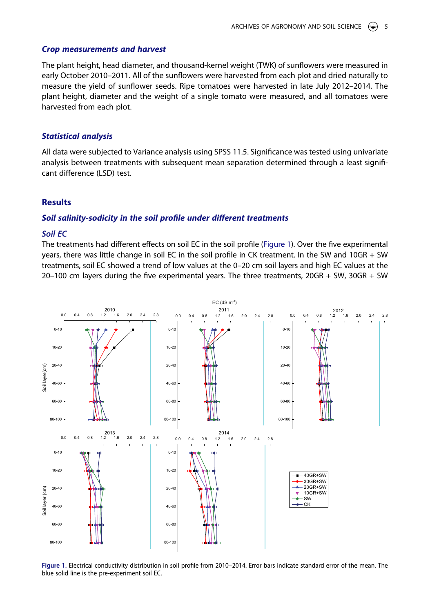#### *Crop measurements and harvest*

The plant height, head diameter, and thousand-kernel weight (TWK) of sunflowers were measured in early October 2010–2011. All of the sunflowers were harvested from each plot and dried naturally to measure the yield of sunflower seeds. Ripe tomatoes were harvested in late July 2012–2014. The plant height, diameter and the weight of a single tomato were measured, and all tomatoes were harvested from each plot.

#### *Statistical analysis*

All data were subjected to Variance analysis using SPSS 11.5. Significance was tested using univariate analysis between treatments with subsequent mean separation determined through a least significant difference (LSD) test.

#### **Results**

#### *Soil salinity-sodicity in the soil profile under different treatments*

# *Soil EC*

The treatments had different effects on soil EC in the soil profile [\(Figure 1](#page-5-0)). Over the five experimental years, there was little change in soil EC in the soil profile in CK treatment. In the SW and 10GR + SW treatments, soil EC showed a trend of low values at the 0–20 cm soil layers and high EC values at the 20–100 cm layers during the five experimental years. The three treatments, 20GR + SW, 30GR + SW

<span id="page-5-0"></span>

**Figure 1.** Electrical conductivity distribution in soil profile from 2010–2014. Error bars indicate standard error of the mean. The blue solid line is the pre-experiment soil EC.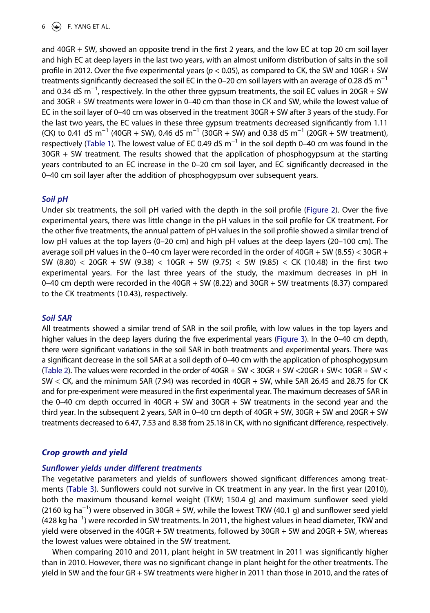### $6 \quad \Leftrightarrow$  F. YANG ET AL.

and 40GR + SW, showed an opposite trend in the first 2 years, and the low EC at top 20 cm soil layer and high EC at deep layers in the last two years, with an almost uniform distribution of salts in the soil profile in 2012. Over the five experimental years (*p* < 0.05), as compared to CK, the SW and 10GR + SW treatments significantly decreased the soil EC in the 0–20 cm soil layers with an average of 0.28 dS  $m^{-1}$ and 0.34 dS m<sup>-1</sup>, respectively. In the other three gypsum treatments, the soil EC values in 20GR + SW and 30GR + SW treatments were lower in 0–40 cm than those in CK and SW, while the lowest value of EC in the soil layer of 0–40 cm was observed in the treatment 30GR + SW after 3 years of the study. For the last two years, the EC values in these three gypsum treatments decreased significantly from 1.11 (CK) to 0.41 dS m<sup>-1</sup> (40GR + SW), 0.46 dS m<sup>-1</sup> (30GR + SW) and 0.38 dS m<sup>-1</sup> (20GR + SW treatment), respectively [\(Table 1](#page-7-0)). The lowest value of EC 0.49 dS m<sup>-1</sup> in the soil depth 0–40 cm was found in the 30GR + SW treatment. The results showed that the application of phosphogypsum at the starting years contributed to an EC increase in the 0–20 cm soil layer, and EC significantly decreased in the 0–40 cm soil layer after the addition of phosphogypsum over subsequent years.

#### *Soil pH*

Under six treatments, the soil pH varied with the depth in the soil profile ([Figure 2\)](#page-8-0). Over the five experimental years, there was little change in the pH values in the soil profile for CK treatment. For the other five treatments, the annual pattern of pH values in the soil profile showed a similar trend of low pH values at the top layers (0–20 cm) and high pH values at the deep layers (20–100 cm). The average soil pH values in the 0–40 cm layer were recorded in the order of  $40GR + SW (8.55) < 30GR +$ SW (8.80) < 20GR + SW (9.38) < 10GR + SW (9.75) < SW (9.85) < CK (10.48) in the first two experimental years. For the last three years of the study, the maximum decreases in pH in 0–40 cm depth were recorded in the 40GR + SW (8.22) and 30GR + SW treatments (8.37) compared to the CK treatments (10.43), respectively.

#### *Soil SAR*

All treatments showed a similar trend of SAR in the soil profile, with low values in the top layers and higher values in the deep layers during the five experimental years ([Figure 3\)](#page-9-0). In the 0-40 cm depth, there were significant variations in the soil SAR in both treatments and experimental years. There was a significant decrease in the soil SAR at a soil depth of 0–40 cm with the application of phosphogypsum ([Table 2](#page-10-0)). The values were recorded in the order of  $40GR + SW < 30GR + SW < 20GR + SW < 10GR + SW <$ SW < CK, and the minimum SAR (7.94) was recorded in 40GR + SW, while SAR 26.45 and 28.75 for CK and for pre-experiment were measured in the first experimental year. The maximum decreases of SAR in the 0–40 cm depth occurred in 40GR + SW and 30GR + SW treatments in the second year and the third year. In the subsequent 2 years, SAR in 0–40 cm depth of 40GR + SW, 30GR + SW and 20GR + SW treatments decreased to 6.47, 7.53 and 8.38 from 25.18 in CK, with no significant difference, respectively.

#### *Crop growth and yield*

#### *Sunflower yields under different treatments*

The vegetative parameters and yields of sunflowers showed significant differences among treatments ([Table 3](#page-11-0)). Sunflowers could not survive in CK treatment in any year. In the first year (2010), both the maximum thousand kernel weight (TKW; 150.4 g) and maximum sunflower seed yield (2160 kg ha<sup>-1</sup>) were observed in 30GR + SW, while the lowest TKW (40.1 g) and sunflower seed yield (428 kg ha<sup>-1</sup>) were recorded in SW treatments. In 2011, the highest values in head diameter, TKW and yield were observed in the 40GR + SW treatments, followed by 30GR + SW and 20GR + SW, whereas the lowest values were obtained in the SW treatment.

When comparing 2010 and 2011, plant height in SW treatment in 2011 was significantly higher than in 2010. However, there was no significant change in plant height for the other treatments. The yield in SW and the four GR + SW treatments were higher in 2011 than those in 2010, and the rates of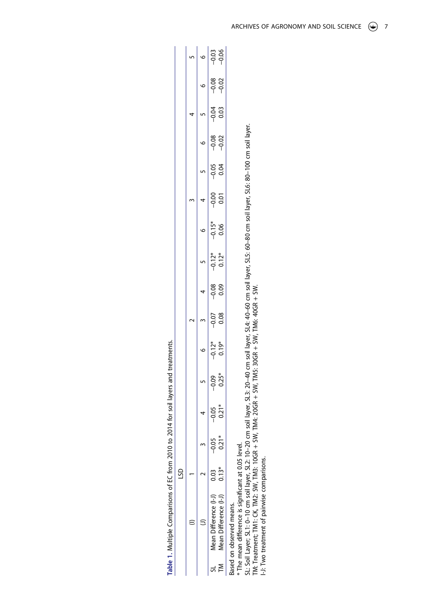<span id="page-7-0"></span>

|   |   | $-0.06$<br>$-0.03$                            |
|---|---|-----------------------------------------------|
|   |   | $-0.08$<br>$-0.02$                            |
|   |   | $-0.04$<br>33                                 |
|   |   | $-0.08$<br>$-0.02$                            |
|   |   | $-0.05$<br>0.04                               |
|   |   | $-0.00$<br>ີຣ                                 |
|   |   | $-0.15*$<br>0.06                              |
|   |   | $-0.12*$<br>$0.12*$                           |
|   |   | $-0.08$<br><u>ن</u><br>0.0                    |
|   |   | $-0.07$<br>0.08                               |
|   |   | $-0.12*$<br>$0.19*$                           |
|   |   | $0.25*$<br>$-0.09$                            |
|   |   | $-0.05$<br>0.21                               |
|   |   | $-0.05$<br><u>วว</u>                          |
| S | √ | $0.13*$<br>$\frac{3}{2}$                      |
|   | ï | Ē<br>ifference<br>ifference<br>lean Dr<br>ean |
|   |   |                                               |

Table 1. Multiple Comparisons of EC from 2010 to 2014 for soil layers and treatments. **Table 1.** Multiple Comparisons of EC from 2010 to 2014 for soil layers and treatments.

Based on observed means. Based on observed means.

\* The mean difference is significant at 0.05 level.

\* The mean difference is significant at 0.05 level.<br>SL: Soil Layer; SL1: 0–10 cm soil layer, SL2: 10–20 cm soil layer, SL3: 20–40 cm soil layer, SL4: 40–60 cm soil layer, SL5: 60–80 cm soil layer, SL6: 80–100 cm soil layer SL: Soil Layer; SL1: 0–10 cm soil layer, SL2: 10–20 cm soil layer, SL3: 20–40 cm soil layer, SL4: 40–60 cm soil layer, SL5: 60–80 cm soil layer, SL6: 80–100 cm soil layer. TM: Treatment; TM1: CK, TM2: SW, TM3: 10GR + SW, TM4: 20GR + SW, TM5: 30GR + SW, TM6: 40GR + SW.

I-J: Two treatment of pairwise comparisons.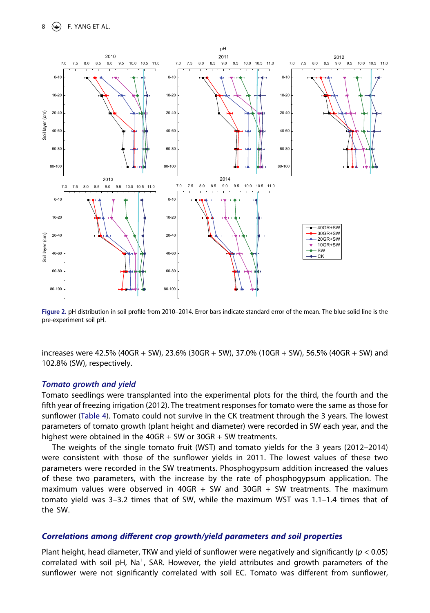<span id="page-8-0"></span>

**Figure 2.** pH distribution in soil profile from 2010–2014. Error bars indicate standard error of the mean. The blue solid line is the pre-experiment soil pH.

increases were 42.5% (40GR + SW), 23.6% (30GR + SW), 37.0% (10GR + SW), 56.5% (40GR + SW) and 102.8% (SW), respectively.

#### *Tomato growth and yield*

Tomato seedlings were transplanted into the experimental plots for the third, the fourth and the fifth year of freezing irrigation (2012). The treatment responses for tomato were the same as those for sunflower ([Table 4](#page-11-1)). Tomato could not survive in the CK treatment through the 3 years. The lowest parameters of tomato growth (plant height and diameter) were recorded in SW each year, and the highest were obtained in the  $40GR + SW$  or  $30GR + SW$  treatments.

The weights of the single tomato fruit (WST) and tomato yields for the 3 years (2012–2014) were consistent with those of the sunflower yields in 2011. The lowest values of these two parameters were recorded in the SW treatments. Phosphogypsum addition increased the values of these two parameters, with the increase by the rate of phosphogypsum application. The maximum values were observed in 40GR + SW and 30GR + SW treatments. The maximum tomato yield was 3–3.2 times that of SW, while the maximum WST was 1.1–1.4 times that of the SW.

#### *Correlations among different crop growth/yield parameters and soil properties*

Plant height, head diameter, TKW and yield of sunflower were negatively and significantly (*p* < 0.05) correlated with soil pH, Na<sup>+</sup>, SAR. However, the yield attributes and growth parameters of the sunflower were not significantly correlated with soil EC. Tomato was different from sunflower,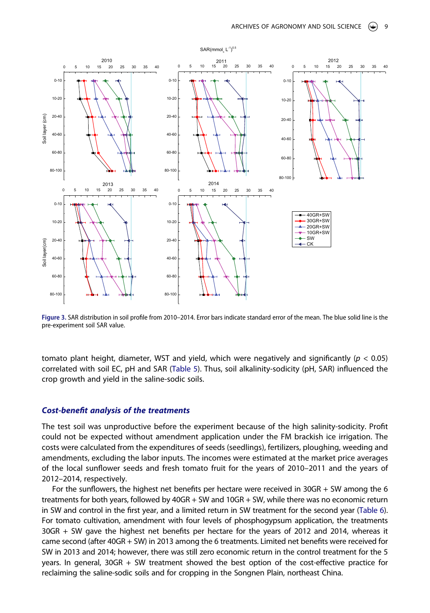<span id="page-9-0"></span>

**Figure 3.** SAR distribution in soil profile from 2010–2014. Error bars indicate standard error of the mean. The blue solid line is the pre-experiment soil SAR value.

tomato plant height, diameter, WST and yield, which were negatively and significantly (*p* < 0.05) correlated with soil EC, pH and SAR [\(Table 5\)](#page-11-2). Thus, soil alkalinity-sodicity (pH, SAR) influenced the crop growth and yield in the saline-sodic soils.

#### *Cost-benefit analysis of the treatments*

The test soil was unproductive before the experiment because of the high salinity-sodicity. Profit could not be expected without amendment application under the FM brackish ice irrigation. The costs were calculated from the expenditures of seeds (seedlings), fertilizers, ploughing, weeding and amendments, excluding the labor inputs. The incomes were estimated at the market price averages of the local sunflower seeds and fresh tomato fruit for the years of 2010–2011 and the years of 2012–2014, respectively.

For the sunflowers, the highest net benefits per hectare were received in 30GR + SW among the 6 treatments for both years, followed by 40GR + SW and 10GR + SW, while there was no economic return in SW and control in the first year, and a limited return in SW treatment for the second year [\(Table 6\)](#page-12-0). For tomato cultivation, amendment with four levels of phosphogypsum application, the treatments 30GR + SW gave the highest net benefits per hectare for the years of 2012 and 2014, whereas it came second (after 40GR + SW) in 2013 among the 6 treatments. Limited net benefits were received for SW in 2013 and 2014; however, there was still zero economic return in the control treatment for the 5 years. In general, 30GR + SW treatment showed the best option of the cost-effective practice for reclaiming the saline-sodic soils and for cropping in the Songnen Plain, northeast China.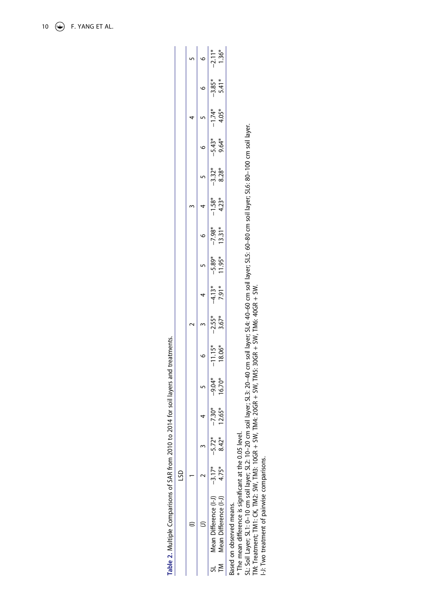<span id="page-10-0"></span>

|   |   | $-2.11*$<br>$1.36*$                           |
|---|---|-----------------------------------------------|
|   |   | $-3.85*$<br>$5.41*$                           |
|   |   | $-1.74*$<br>$4.05*$                           |
|   |   | $-5.43*$<br>9.64*                             |
|   |   | $-3.32*$<br>8.28*                             |
|   |   | $-1.58*$<br>$4.23*$                           |
|   |   | $13.31*$<br>$-7.98*$                          |
|   |   | 11.95*<br>$-5.89*$                            |
|   |   | $-4.13*$<br>$7.91*$                           |
|   |   | $-2.55*$<br>$3.67*$                           |
|   |   | $-11.15*$<br>18.06*                           |
|   |   | $-9.04*$<br>$-6.70*$                          |
|   |   | $-7.30*$<br>$12.65*$                          |
|   |   | $-5.72*$<br>$8.42*$                           |
| ş |   | $-3.17*$                                      |
|   | ١ | lean Difference (I-J'<br>lean Difference (I-J |
|   |   |                                               |

Table 2. Multiple Comparisons of SAR from 2010 to 2014 for soil layers and treatments. **Table 2.** Multiple Comparisons of SAR from 2010 to 2014 for soil layers and treatments.

Based on observed means. Based on observed means.

\* The mean difference is significant at the 0.05 level.

\* The mean difference is significant at the 0.05 level.<br>SL: Soil Layer; SL1: 0–10 cm soil layer; SL2: 10–20 cm soil layer; SL3: 20–40 cm soil layer; SL4: 40–60 cm soil layer; SL5: 60–80 cm soil layer; SL6: 80–100 cm soil l SL: Soil Layer; SL1: 0–10 cm soil layer; SL2: 10–20 cm soil layer; SL3: 20–40 cm soil layer; SL4: 40–60 cm soil layer; SL5: 60–80 cm soil layer; SL6: 80–100 cm soil layer. TM: Treatment; TM1: CK, TM2: SW, TM3: 10GR + SW, TM4: 20GR + SW, TM5: 30GR + SW, TM6: 40GR + SW.

I-J: Two treatment of pairwise comparisons.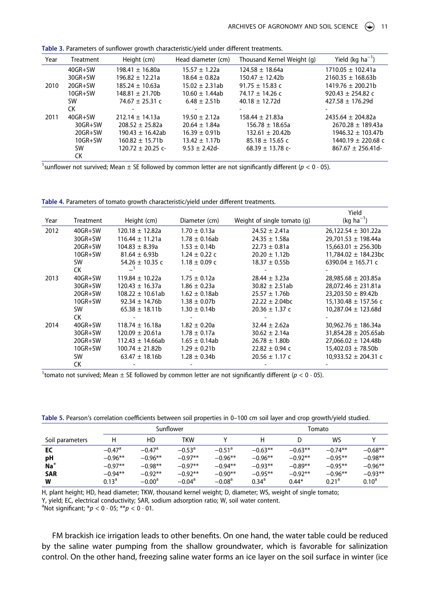| Year | Treatment      | Height (cm)          | Head diameter (cm) | Thousand Kernel Weight (g) | Yield (kg $ha^{-1}$ )  |
|------|----------------|----------------------|--------------------|----------------------------|------------------------|
|      | $40$ GR+SW     | $198.41 \pm 16.80a$  | $15.57 \pm 1.22a$  | $124.58 \pm 18.64a$        | $1710.05 \pm 102.41a$  |
|      | $30$ GR+SW     | $196.82 + 12.21a$    | $18.64 \pm 0.82a$  | $150.47 \pm 12.42b$        | $2160.35 \pm 168.63b$  |
| 2010 | $20GR + SW$    | $185.24 \pm 10.63a$  | $15.02 \pm 2.31ab$ | $91.75 \pm 15.83$ c        | $1419.76 \pm 200.21b$  |
|      | $10GR+SW$      | $148.81 \pm 21.70b$  | $10.60 \pm 1.44ab$ | $74.17 \pm 14.26$ c        | 920.43 $\pm$ 254.82 c  |
|      | SW             | $74.67 \pm 25.31$ c  | $6.48 \pm 2.51b$   | $40.18 \pm 12.72d$         | $427.58 \pm 176.29d$   |
|      | СK             |                      |                    |                            |                        |
| 2011 | $40$ GR $+$ SW | $212.14 \pm 14.13a$  | $19.50 \pm 2.12a$  | $158.44 \pm 21.83a$        | $2435.64 \pm 204.82a$  |
|      | $30$ GR+SW     | $208.52 + 25.82a$    | $20.64 \pm 1.84a$  | $156.78 \pm 18.65a$        | $2670.28 \pm 189.43a$  |
|      | $20GR + SW$    | $190.43 \pm 16.42ab$ | $16.39 \pm 0.91b$  | $132.61 \pm 20.42b$        | $1946.32 + 103.47b$    |
|      | $10GR+SW$      | $160.82 + 15.71b$    | $13.42 \pm 1.17b$  | $85.18 \pm 15.65$ c        | $1440.19 \pm 220.68$ c |
|      | SW             | $120.72 + 20.25$ c-  | $9.53 \pm 2.42$ d- | $68.39 + 13.78$ c-         | $867.67 \pm 256.41d$   |
|      | СK             |                      |                    |                            |                        |

<span id="page-11-0"></span>**Table 3.** Parameters of sunflower growth characteristic/yield under different treatments.

<sup>1</sup>sunflower not survived; Mean  $\pm$  SE followed by common letter are not significantly different ( $p < 0.05$ ).

<span id="page-11-1"></span>**Table 4.** Parameters of tomato growth characteristic/yield under different treatments.

|      |                |                      |                    |                             | Yield                    |
|------|----------------|----------------------|--------------------|-----------------------------|--------------------------|
| Year | Treatment      | Height (cm)          | Diameter (cm)      | Weight of single tomato (g) | $(kq ha^{-1})$           |
| 2012 | $40$ GR $+$ SW | $120.18 \pm 12.82a$  | $1.70 \pm 0.13a$   | $24.52 \pm 2.41a$           | 26,122.54 $\pm$ 301.22a  |
|      | 30GR+SW        | $116.44 \pm 11.21a$  | $1.78 \pm 0.16$ ab | $24.35 \pm 1.58a$           | $29.701.53 \pm 198.44a$  |
|      | 20GR+SW        | $104.83 \pm 8.39a$   | $1.53 \pm 0.14b$   | $22.73 \pm 0.81a$           | $15,663.01 \pm 256.30b$  |
|      | $10GR+SW$      | $81.64 \pm 6.93b$    | $1.24 \pm 0.22$ c  | $20.20 \pm 1.12b$           | 11,784.02 $\pm$ 184.23bc |
|      | <b>SW</b>      | $54.26 \pm 10.35$ c  | $1.18 \pm 0.09$ c  | $18.37 \pm 0.55$ b          | 6390.04 $\pm$ 165.71 c   |
|      | СK             |                      |                    |                             |                          |
| 2013 | $40GR + SW$    | $119.84 \pm 10.22a$  | $1.75 \pm 0.12a$   | $28.44 \pm 3.23a$           | $28,985.68 \pm 203.85a$  |
|      | $30$ GR+SW     | $120.43 \pm 16.37a$  | $1.86 \pm 0.23a$   | $30.82 + 2.51ab$            | $28,072.46 \pm 231.81a$  |
|      | $20GR+SW$      | $108.22 \pm 10.61ab$ | $1.62 \pm 0.18$ ab | $25.57 \pm 1.76b$           | $23,203.50 \pm 89.42b$   |
|      | $10GR+SW$      | $92.34 \pm 14.76b$   | $1.38 \pm 0.07$ b  | $22.22 \pm 2.04$ bc         | 15,130.48 $\pm$ 157.56 c |
|      | <b>SW</b>      | $65.38 \pm 18.11b$   | $1.30 \pm 0.14b$   | $20.36 \pm 1.37$ c          | $10,287.04 \pm 123.68$ d |
|      | СK             |                      |                    |                             |                          |
| 2014 | 40GR+SW        | $118.74 \pm 16.18a$  | $1.82 + 0.20a$     | $32.44 \pm 2.62a$           | 30,962.76 $\pm$ 186.34a  |
|      | $30$ GR+SW     | $120.09 \pm 20.61a$  | $1.78 \pm 0.17$ a  | $30.62 \pm 2.14a$           | $31,854.28 \pm 205.65ab$ |
|      | $20GR + SW$    | $112.43 \pm 14.66ab$ | $1.65 \pm 0.14$ ab | $26.78 \pm 1.80$            | $27,066.02 \pm 124.48b$  |
|      | $10GR+SW$      | $100.74 \pm 21.82b$  | $1.29 \pm 0.21$ b  | $22.82 \pm 0.94$ c          | $15,402.03 \pm 78.50b$   |
|      | <b>SW</b>      | $63.47 \pm 18.16b$   | $1.28 \pm 0.34b$   | $20.56 \pm 1.17$ c          | 10,933.52 $\pm$ 204.31 c |
|      | СK             |                      |                    |                             |                          |

<sup>1</sup> tomato not survived; Mean  $\pm$  SE followed by common letter are not significantly different ( $p < 0.05$ ).

|                 |                   | Sunflower            |                 |                      | Tomato     |           |                   |           |
|-----------------|-------------------|----------------------|-----------------|----------------------|------------|-----------|-------------------|-----------|
| Soil parameters | Н                 | HD                   | TKW             |                      |            |           | WS                |           |
| EC              | $-0.47d$          | $-0.47$ <sup>a</sup> | $-0.53^{\circ}$ | $-0.51$ <sup>a</sup> | $-0.63**$  | $-0.63**$ | $-0.74**$         | $-0.68**$ |
| рH              | $-0.96**$         | $-0.96**$            | $-0.97**$       | $-0.96**$            | $-0.96**$  | $-0.92**$ | $-0.95**$         | $-0.98**$ |
| $Na+$           | $-0.97**$         | $-0.98**$            | $-0.97**$       | $-0.94**$            | $-0.93**$  | $-0.89**$ | $-0.95**$         | $-0.96**$ |
| <b>SAR</b>      | $-0.94**$         | $-0.92**$            | $-0.92**$       | $-0.90**$            | $-0.95**$  | $-0.92**$ | $-0.96**$         | $-0.93**$ |
| w               | 0.13 <sup>a</sup> | $-0.00a$             | $-0.04a$        | $-0.08$ <sup>a</sup> | $0.34^{a}$ | $0.44*$   | 0.21 <sup>a</sup> | $0.10^a$  |

<span id="page-11-2"></span>**Table 5.** Pearson′s correlation coefficients between soil properties in 0–100 cm soil layer and crop growth/yield studied.

H, plant height; HD, head diameter; TKW, thousand kernel weight; D, diameter; WS, weight of single tomato; Y, yield; EC, electrical conductivity; SAR, sodium adsorption ratio; W, soil water content.

<sup>a</sup>Not significant;  $* p < 0.05$ ;  $** p < 0.01$ .

FM brackish ice irrigation leads to other benefits. On one hand, the water table could be reduced by the saline water pumping from the shallow groundwater, which is favorable for salinization control. On the other hand, freezing saline water forms an ice layer on the soil surface in winter (ice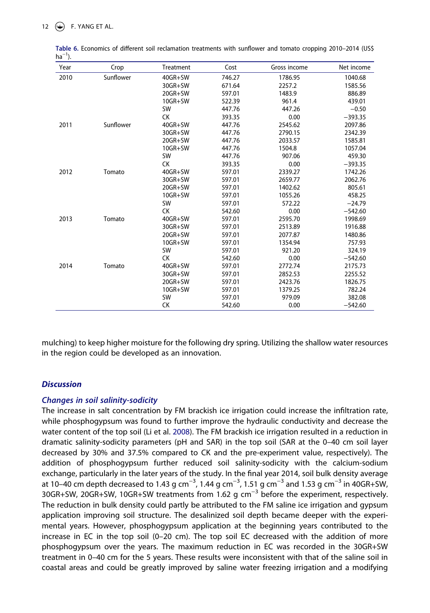| Year | Crop      | Treatment | Cost   | Gross income | Net income |
|------|-----------|-----------|--------|--------------|------------|
| 2010 | Sunflower | 40GR+SW   | 746.27 | 1786.95      | 1040.68    |
|      |           | 30GR+SW   | 671.64 | 2257.2       | 1585.56    |
|      |           | 20GR+SW   | 597.01 | 1483.9       | 886.89     |
|      |           | 10GR+SW   | 522.39 | 961.4        | 439.01     |
|      |           | <b>SW</b> | 447.76 | 447.26       | $-0.50$    |
|      |           | СK        | 393.35 | 0.00         | $-393.35$  |
| 2011 | Sunflower | 40GR+SW   | 447.76 | 2545.62      | 2097.86    |
|      |           | 30GR+SW   | 447.76 | 2790.15      | 2342.39    |
|      |           | 20GR+SW   | 447.76 | 2033.57      | 1585.81    |
|      |           | $10GR+SW$ | 447.76 | 1504.8       | 1057.04    |
|      |           | <b>SW</b> | 447.76 | 907.06       | 459.30     |
|      |           | <b>CK</b> | 393.35 | 0.00         | $-393.35$  |
| 2012 | Tomato    | 40GR+SW   | 597.01 | 2339.27      | 1742.26    |
|      |           | 30GR+SW   | 597.01 | 2659.77      | 2062.76    |
|      |           | 20GR+SW   | 597.01 | 1402.62      | 805.61     |
|      |           | 10GR+SW   | 597.01 | 1055.26      | 458.25     |
|      |           | <b>SW</b> | 597.01 | 572.22       | $-24.79$   |
|      |           | <b>CK</b> | 542.60 | 0.00         | $-542.60$  |
| 2013 | Tomato    | 40GR+SW   | 597.01 | 2595.70      | 1998.69    |
|      |           | 30GR+SW   | 597.01 | 2513.89      | 1916.88    |
|      |           | 20GR+SW   | 597.01 | 2077.87      | 1480.86    |
|      |           | $10GR+SW$ | 597.01 | 1354.94      | 757.93     |
|      |           | <b>SW</b> | 597.01 | 921.20       | 324.19     |
|      |           | <b>CK</b> | 542.60 | 0.00         | $-542.60$  |
| 2014 | Tomato    | 40GR+SW   | 597.01 | 2772.74      | 2175.73    |
|      |           | 30GR+SW   | 597.01 | 2852.53      | 2255.52    |
|      |           | 20GR+SW   | 597.01 | 2423.76      | 1826.75    |
|      |           | 10GR+SW   | 597.01 | 1379.25      | 782.24     |
|      |           | <b>SW</b> | 597.01 | 979.09       | 382.08     |
|      |           | СK        | 542.60 | 0.00         | $-542.60$  |

<span id="page-12-0"></span>**Table 6.** Economics of different soil reclamation treatments with sunflower and tomato cropping 2010–2014 (US\$  $ha^{-1}$ ).

mulching) to keep higher moisture for the following dry spring. Utilizing the shallow water resources in the region could be developed as an innovation.

## *Discussion*

#### *Changes in soil salinity-sodicity*

The increase in salt concentration by FM brackish ice irrigation could increase the infiltration rate, while phosphogypsum was found to further improve the hydraulic conductivity and decrease the water content of the top soil (Li et al. [2008\)](#page-15-9). The FM brackish ice irrigation resulted in a reduction in dramatic salinity-sodicity parameters (pH and SAR) in the top soil (SAR at the 0–40 cm soil layer decreased by 30% and 37.5% compared to CK and the pre-experiment value, respectively). The addition of phosphogypsum further reduced soil salinity-sodicity with the calcium-sodium exchange, particularly in the later years of the study. In the final year 2014, soil bulk density average at 10–40 cm depth decreased to 1.43 g cm<sup>-3</sup>, 1.44 g cm<sup>-3</sup>, 1.51 g cm<sup>-3</sup> and 1.53 g cm<sup>-3</sup> in 40GR+SW, 30GR+SW, 20GR+SW, 10GR+SW treatments from 1.62 g cm<sup>-3</sup> before the experiment, respectively. The reduction in bulk density could partly be attributed to the FM saline ice irrigation and gypsum application improving soil structure. The desalinized soil depth became deeper with the experimental years. However, phosphogypsum application at the beginning years contributed to the increase in EC in the top soil (0–20 cm). The top soil EC decreased with the addition of more phosphogypsum over the years. The maximum reduction in EC was recorded in the 30GR+SW treatment in 0–40 cm for the 5 years. These results were inconsistent with that of the saline soil in coastal areas and could be greatly improved by saline water freezing irrigation and a modifying

12  $\left(\bigcirc\right)$  F. YANG ET AL.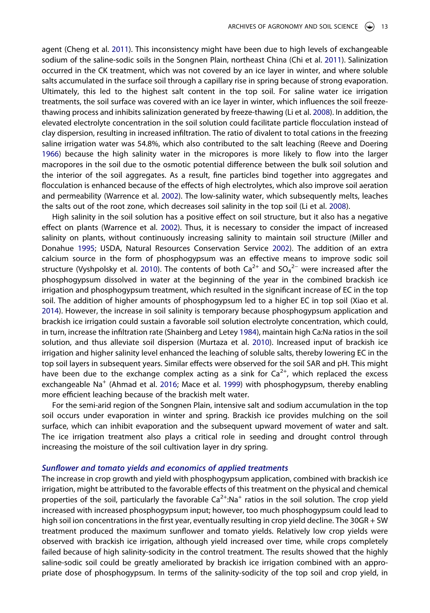agent (Cheng et al. [2011\)](#page-14-2). This inconsistency might have been due to high levels of exchangeable sodium of the saline-sodic soils in the Songnen Plain, northeast China (Chi et al. [2011](#page-15-5)). Salinization occurred in the CK treatment, which was not covered by an ice layer in winter, and where soluble salts accumulated in the surface soil through a capillary rise in spring because of strong evaporation. Ultimately, this led to the highest salt content in the top soil. For saline water ice irrigation treatments, the soil surface was covered with an ice layer in winter, which influences the soil freezethawing process and inhibits salinization generated by freeze-thawing (Li et al. [2008\)](#page-15-9). In addition, the elevated electrolyte concentration in the soil solution could facilitate particle flocculation instead of clay dispersion, resulting in increased infiltration. The ratio of divalent to total cations in the freezing saline irrigation water was 54.8%, which also contributed to the salt leaching (Reeve and Doering [1966\)](#page-15-21) because the high salinity water in the micropores is more likely to flow into the larger macropores in the soil due to the osmotic potential difference between the bulk soil solution and the interior of the soil aggregates. As a result, fine particles bind together into aggregates and flocculation is enhanced because of the effects of high electrolytes, which also improve soil aeration and permeability (Warrence et al. [2002\)](#page-15-6). The low-salinity water, which subsequently melts, leaches the salts out of the root zone, which decreases soil salinity in the top soil (Li et al. [2008](#page-15-9)).

<span id="page-13-4"></span><span id="page-13-2"></span><span id="page-13-1"></span>High salinity in the soil solution has a positive effect on soil structure, but it also has a negative effect on plants (Warrence et al. [2002\)](#page-15-6). Thus, it is necessary to consider the impact of increased salinity on plants, without continuously increasing salinity to maintain soil structure (Miller and Donahue [1995;](#page-15-22) USDA, Natural Resources Conservation Service [2002](#page-15-23)). The addition of an extra calcium source in the form of phosphogypsum was an effective means to improve sodic soil structure (Vyshpolsky et al. [2010\)](#page-15-24). The contents of both  $Ca^{2+}$  and  $SO_4^{2-}$  were increased after the phosphogypsum dissolved in water at the beginning of the year in the combined brackish ice irrigation and phosphogypsum treatment, which resulted in the significant increase of EC in the top soil. The addition of higher amounts of phosphogypsum led to a higher EC in top soil (Xiao et al. [2014\)](#page-15-8). However, the increase in soil salinity is temporary because phosphogypsum application and brackish ice irrigation could sustain a favorable soil solution electrolyte concentration, which could, in turn, increase the infiltration rate (Shainberg and Letey [1984](#page-15-25)), maintain high Ca:Na ratios in the soil solution, and thus alleviate soil dispersion (Murtaza et al. [2010](#page-15-18)). Increased input of brackish ice irrigation and higher salinity level enhanced the leaching of soluble salts, thereby lowering EC in the top soil layers in subsequent years. Similar effects were observed for the soil SAR and pH. This might have been due to the exchange complex acting as a sink for  $Ca^{2+}$ , which replaced the excess exchangeable Na<sup>+</sup> (Ahmad et al. [2016](#page-14-5); Mace et al. [1999\)](#page-15-17) with phosphogypsum, thereby enabling more efficient leaching because of the brackish melt water.

<span id="page-13-3"></span><span id="page-13-0"></span>For the semi-arid region of the Songnen Plain, intensive salt and sodium accumulation in the top soil occurs under evaporation in winter and spring. Brackish ice provides mulching on the soil surface, which can inhibit evaporation and the subsequent upward movement of water and salt. The ice irrigation treatment also plays a critical role in seeding and drought control through increasing the moisture of the soil cultivation layer in dry spring.

#### *Sunflower and tomato yields and economics of applied treatments*

The increase in crop growth and yield with phosphogypsum application, combined with brackish ice irrigation, might be attributed to the favorable effects of this treatment on the physical and chemical properties of the soil, particularly the favorable  $Ca<sup>2+</sup>:Na<sup>+</sup>$  ratios in the soil solution. The crop yield increased with increased phosphogypsum input; however, too much phosphogypsum could lead to high soil ion concentrations in the first year, eventually resulting in crop yield decline. The 30GR + SW treatment produced the maximum sunflower and tomato yields. Relatively low crop yields were observed with brackish ice irrigation, although yield increased over time, while crops completely failed because of high salinity-sodicity in the control treatment. The results showed that the highly saline-sodic soil could be greatly ameliorated by brackish ice irrigation combined with an appropriate dose of phosphogypsum. In terms of the salinity-sodicity of the top soil and crop yield, in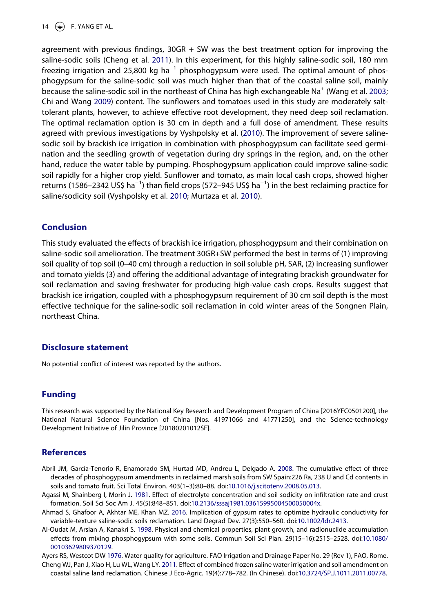#### 14  $\left(\bigstar\right)$  F. YANG ET AL.

<span id="page-14-7"></span><span id="page-14-6"></span>agreement with previous findings, 30GR + SW was the best treatment option for improving the saline-sodic soils (Cheng et al. [2011\)](#page-14-2). In this experiment, for this highly saline-sodic soil, 180 mm freezing irrigation and 25,800 kg ha<sup>-1</sup> phosphogypsum were used. The optimal amount of phosphogypsum for the saline-sodic soil was much higher than that of the coastal saline soil, mainly because the saline-sodic soil in the northeast of China has high exchangeable Na<sup>+</sup> (Wang et al. [2003](#page-15-26); Chi and Wang [2009](#page-15-27)) content. The sunflowers and tomatoes used in this study are moderately salttolerant plants, however, to achieve effective root development, they need deep soil reclamation. The optimal reclamation option is 30 cm in depth and a full dose of amendment. These results agreed with previous investigations by Vyshpolsky et al. ([2010](#page-15-24)). The improvement of severe salinesodic soil by brackish ice irrigation in combination with phosphogypsum can facilitate seed germination and the seedling growth of vegetation during dry springs in the region, and, on the other hand, reduce the water table by pumping. Phosphogypsum application could improve saline-sodic soil rapidly for a higher crop yield. Sunflower and tomato, as main local cash crops, showed higher returns (1586–2342 US\$ ha<sup>-1</sup>) than field crops (572–945 US\$ ha<sup>-1</sup>) in the best reclaiming practice for saline/sodicity soil (Vyshpolsky et al. [2010;](#page-15-24) Murtaza et al. [2010\)](#page-15-18).

#### **Conclusion**

This study evaluated the effects of brackish ice irrigation, phosphogypsum and their combination on saline-sodic soil amelioration. The treatment 30GR+SW performed the best in terms of (1) improving soil quality of top soil (0–40 cm) through a reduction in soil soluble pH, SAR, (2) increasing sunflower and tomato yields (3) and offering the additional advantage of integrating brackish groundwater for soil reclamation and saving freshwater for producing high-value cash crops. Results suggest that brackish ice irrigation, coupled with a phosphogypsum requirement of 30 cm soil depth is the most effective technique for the saline-sodic soil reclamation in cold winter areas of the Songnen Plain, northeast China.

#### **Disclosure statement**

No potential conflict of interest was reported by the authors.

#### **Funding**

This research was supported by the National Key Research and Development Program of China [2016YFC0501200], the National Natural Science Foundation of China [Nos. 41971066 and 41771250], and the Science-technology Development Initiative of Jilin Province [20180201012SF].

#### **References**

- <span id="page-14-4"></span>Abril JM, García-Tenorio R, Enamorado SM, Hurtad MD, Andreu L, Delgado A. [2008](#page-2-0). The cumulative effect of three decades of phosphogypsum amendments in reclaimed marsh soils from SW Spain:226 Ra, 238 U and Cd contents in soils and tomato fruit. Sci Total Environ. 403(1–3):80–88. doi:[10.1016/j.scitotenv.2008.05.013](https://doi.org/10.1016/j.scitotenv.2008.05.013).
- <span id="page-14-1"></span>Agassi M, Shainberg I, Morin J. [1981.](#page-2-1) Effect of electrolyte concentration and soil sodicity on infiltration rate and crust formation. Soil Sci Soc Am J. 45(5):848–851. doi:[10.2136/sssaj1981.03615995004500050004x.](https://doi.org/10.2136/sssaj1981.03615995004500050004x)
- <span id="page-14-5"></span>Ahmad S, Ghafoor A, Akhtar ME, Khan MZ. [2016](#page-13-0). Implication of gypsum rates to optimize hydraulic conductivity for variable-texture saline-sodic soils reclamation. Land Degrad Dev. 27(3):550–560. doi:[10.1002/ldr.2413.](https://doi.org/10.1002/ldr.2413)
- <span id="page-14-3"></span>Al-Oudat M, Arslan A, Kanakri S. [1998.](#page-2-0) Physical and chemical properties, plant growth, and radionuclide accumulation effects from mixing phosphogypsum with some soils. Commun Soil Sci Plan. 29(15–16):2515–2528. doi:[10.1080/](https://doi.org/10.1080/00103629809370129) [00103629809370129.](https://doi.org/10.1080/00103629809370129)

<span id="page-14-0"></span>Ayers RS, Westcot DW [1976](#page-2-2). Water quality for agriculture. FAO Irrigation and Drainage Paper No, 29 (Rev 1), FAO, Rome.

<span id="page-14-2"></span>Cheng WJ, Pan J, Xiao H, Lu WL, Wang LY. [2011](#page-2-3). Effect of combined frozen saline water irrigation and soil amendment on coastal saline land reclamation. Chinese J Eco-Agric. 19(4):778–782. (In Chinese). doi:[10.3724/SP.J.1011.2011.00778.](https://doi.org/10.3724/SP.J.1011.2011.00778)